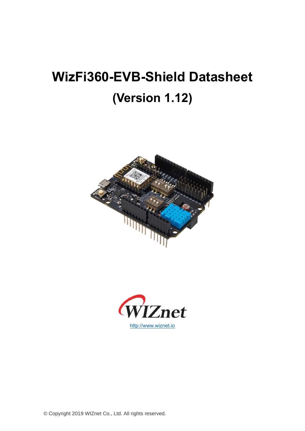# **WizFi360-EVB-Shield Datasheet (Version 1.12)**





© Copyright 2019 WIZnet Co., Ltd. All rights reserved.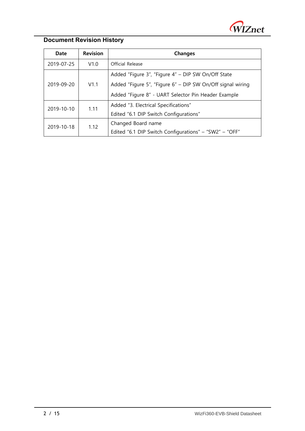

#### **Document Revision History**

| Date       | <b>Revision</b> | <b>Changes</b>                                             |  |  |
|------------|-----------------|------------------------------------------------------------|--|--|
| 2019-07-25 | V1.0            | Official Release                                           |  |  |
|            | V1.1            | Added "Figure 3", "Figure 4" - DIP SW On/Off State         |  |  |
| 2019-09-20 |                 | Added "Figure 5", "Figure 6" - DIP SW On/Off signal wiring |  |  |
|            |                 | Added "Figure 8" - UART Selector Pin Header Example        |  |  |
| 2019-10-10 | 1.11            | Added "3. Electrical Specifications"                       |  |  |
|            |                 | Edited "6.1 DIP Switch Configurations"                     |  |  |
| 2019-10-18 | 1.12            | Changed Board name                                         |  |  |
|            |                 | Edited "6.1 DIP Switch Configurations" - "SW2" - "OFF"     |  |  |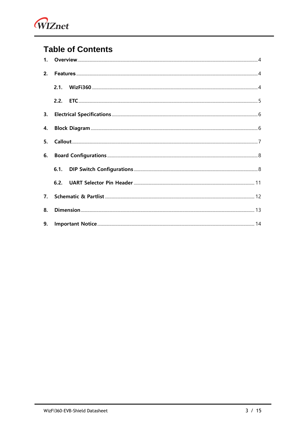

### **Table of Contents**

| 2. |  |
|----|--|
|    |  |
|    |  |
|    |  |
| 4. |  |
|    |  |
| 6. |  |
|    |  |
|    |  |
|    |  |
| 8. |  |
|    |  |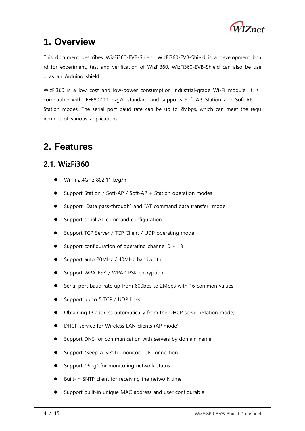

### <span id="page-3-0"></span>**1. Overview**

This document describes WizFi360-EVB-Shield. WizFi360-EVB-Shield is a development boa rd for experiment, test and verification of WizFi360. WizFi360-EVB-Shield can also be use d as an Arduino shield.

WizFi360 is a low cost and low-power consumption industrial-grade Wi-Fi module. It is compatible with IEEE802.11 b/g/n standard and supports Soft-AP, Station and Soft-AP + Station modes. The serial port baud rate can be up to 2Mbps, which can meet the requ irement of various applications.

### <span id="page-3-1"></span>**2. Features**

#### <span id="page-3-2"></span>**2.1. WizFi360**

- ⚫ Wi-Fi 2.4GHz 802.11 b/g/n
- ⚫ Support Station / Soft-AP / Soft-AP + Station operation modes
- ⚫ Support "Data pass-through" and "AT command data transfer" mode
- ⚫ Support serial AT command configuration
- Support TCP Server / TCP Client / UDP operating mode
- Support configuration of operating channel  $0 \sim 13$
- ⚫ Support auto 20MHz / 40MHz bandwidth
- ⚫ Support WPA\_PSK / WPA2\_PSK encryption
- Serial port baud rate up from 600bps to 2Mbps with 16 common values
- Support up to 5 TCP / UDP links
- ⚫ Obtaining IP address automatically from the DHCP server (Station mode)
- ⚫ DHCP service for Wireless LAN clients (AP mode)
- Support DNS for communication with servers by domain name
- ⚫ Support "Keep-Alive" to monitor TCP connection
- ⚫ Support "Ping" for monitoring network status
- Built-in SNTP client for receiving the network time
- ⚫ Support built-in unique MAC address and user configurable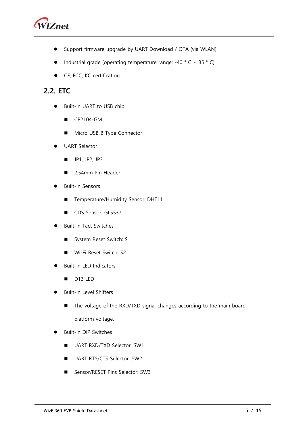

- ⚫ Support firmware upgrade by UART Download / OTA (via WLAN)
- Industrial grade (operating temperature range: -40  $^{\circ}$  C ~ 85  $^{\circ}$  C)
- CE, FCC, KC certification

#### <span id="page-4-0"></span>**2.2. ETC**

- ⚫ Built-in UART to USB chip
	- CP2104-GM
	- Micro USB B Type Connector
- ⚫ UART Selector
	- JP1, JP2, JP3
	- 2.54mm Pin Header
- ⚫ Built-in Sensors
	- Temperature/Humidity Sensor: DHT11
	- CDS Sensor: GL5537
- ⚫ Built-in Tact Switches
	- System Reset Switch: S1
	- Wi-Fi Reset Switch: S2
- ⚫ Built-in LED Indicators
	- D13 LED
- ⚫ Built-in Level Shifters
	- The voltage of the RXD/TXD signal changes according to the main board platform voltage.
- ⚫ Built-in DIP Switches
	- UART RXD/TXD Selector: SW1
	- UART RTS/CTS Selector: SW2
	- Sensor/RESET Pins Selector: SW3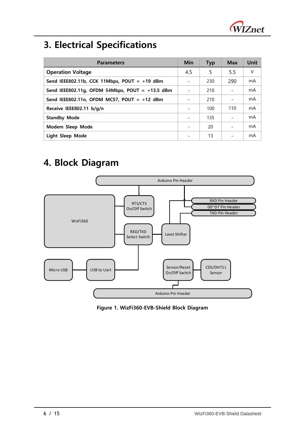

# <span id="page-5-0"></span>**3. Electrical Specifications**

| <b>Parameters</b>                                 |  | <b>Typ</b> | <b>Max</b> | Unit |
|---------------------------------------------------|--|------------|------------|------|
| <b>Operation Voltage</b>                          |  | 5          | 5.5        | V    |
| Send IEEE802.11b, CCK 11Mbps, POUT = $+19$ dBm    |  | 230        | 290        | mA   |
| Send IEEE802.11g, OFDM 54Mbps, POUT = $+13.5$ dBm |  | 210        |            | mA   |
| Send IEEE802.11n, OFDM MCS7, POUT = +12 dBm       |  | 210        |            | mA   |
| Receive IEEE802.11 b/g/n                          |  | 100        | 110        | mA   |
| <b>Standby Mode</b>                               |  | 135        |            | mA   |
| Modem Sleep Mode                                  |  | 20         |            | mA   |
| Light Sleep Mode                                  |  | 13         |            | mA   |

### <span id="page-5-1"></span>**4. Block Diagram**



**Figure 1. WizFi360-EVB-Shield Block Diagram**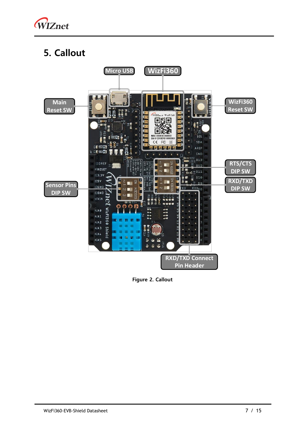

# <span id="page-6-0"></span>**5. Callout**



**Figure 2. Callout**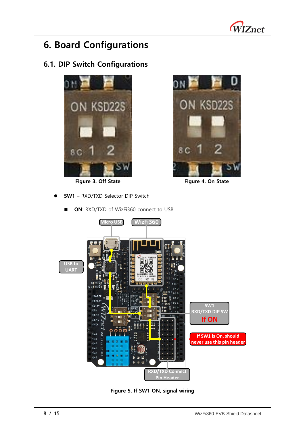

### <span id="page-7-0"></span>**6. Board Configurations**

### <span id="page-7-1"></span>**6.1. DIP Switch Configurations**



**Figure 3. Off State Figure 4. On State**

⚫ **SW1** – RXD/TXD Selector DIP Switch







**Figure 5. If SW1 ON, signal wiring**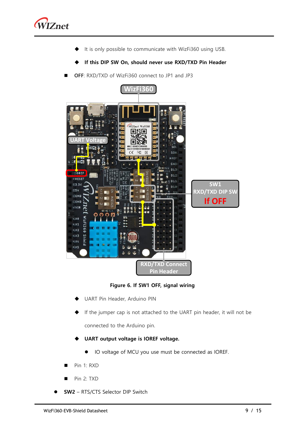

- It is only possible to communicate with WizFi360 using USB.
- **If this DIP SW On, should never use RXD/TXD Pin Header**
- OFF: RXD/TXD of WizFi360 connect to JP1 and JP3



**Figure 6. If SW1 OFF, signal wiring**

- **UART Pin Header, Arduino PIN**
- If the jumper cap is not attached to the UART pin header, it will not be

connected to the Arduino pin.

- **UART output voltage is IOREF voltage.** 
	- ⚫ IO voltage of MCU you use must be connected as IOREF.
- Pin 1: RXD
- Pin 2: TXD
- ⚫ **SW2** RTS/CTS Selector DIP Switch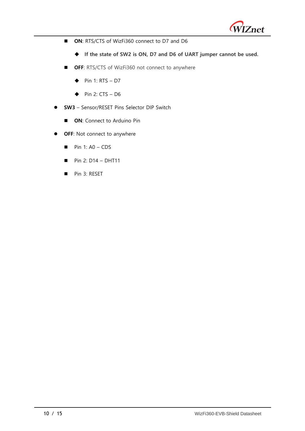

- ON: RTS/CTS of WizFi360 connect to D7 and D6
	- ◆ **If the state of SW2 is ON, D7 and D6 of UART jumper cannot be used.**
- OFF: RTS/CTS of WizFi360 not connect to anywhere
	- $\blacklozenge$  Pin 1: RTS D7
	- $\blacklozenge$  Pin 2: CTS D6
- ⚫ **SW3** Sensor/RESET Pins Selector DIP Switch
	- ON: Connect to Arduino Pin
- ⚫ **OFF**: Not connect to anywhere
	- $\blacksquare$  Pin 1: A0 CDS
	- $\blacksquare$  Pin 2: D14 DHT11
	- Pin 3: RESET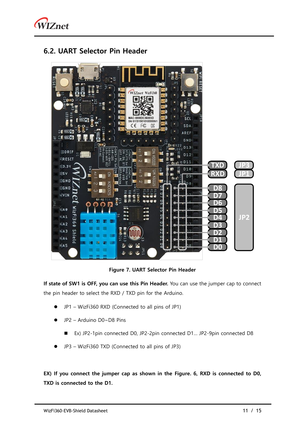

#### <span id="page-10-0"></span>**6.2. UART Selector Pin Header**



**Figure 7. UART Selector Pin Header**

**If state of SW1 is OFF, you can use this Pin Header.** You can use the jumper cap to connect the pin header to select the RXD / TXD pin for the Arduino.

- ⚫ JP1 WizFi360 RXD (Connected to all pins of JP1)
- ⚫ JP2 Arduino D0~D8 Pins
	- Ex) JP2-1pin connected D0, JP2-2pin connected D1... JP2-9pin connected D8
- ⚫ JP3 WizFi360 TXD (Connected to all pins of JP3)

**EX) If you connect the jumper cap as shown in the Figure. 6, RXD is connected to D0, TXD is connected to the D1.**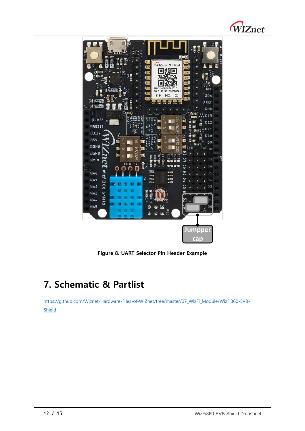



**Figure 8. UART Selector Pin Header Example**

# <span id="page-11-0"></span>**7. Schematic & Partlist**

[https://github.com/Wiznet/Hardware-Files-of-WIZnet/tree/master/07\\_WizFi\\_Module/WizFi360-EVB-](https://github.com/Wiznet/Hardware-Files-of-WIZnet/tree/master/07_WizFi_Module/WizFi360-EVB-Shield)**[Shield](https://github.com/Wiznet/Hardware-Files-of-WIZnet/tree/master/07_WizFi_Module/WizFi360-EVB-Shield)**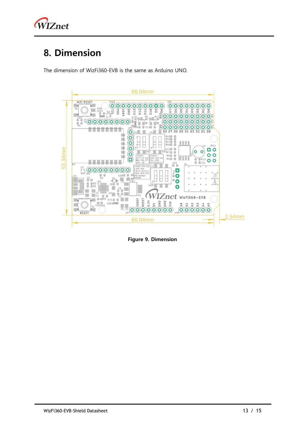

## <span id="page-12-0"></span>**8. Dimension**

The dimension of WizFi360-EVB is the same as Arduino UNO.



**Figure 9. Dimension**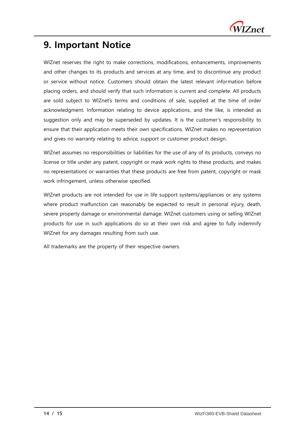

### <span id="page-13-0"></span>**9. Important Notice**

WIZnet reserves the right to make corrections, modifications, enhancements, improvements and other changes to its products and services at any time, and to discontinue any product or service without notice. Customers should obtain the latest relevant information before placing orders, and should verify that such information is current and complete. All products are sold subject to WIZnet's terms and conditions of sale, supplied at the time of order acknowledgment. Information relating to device applications, and the like, is intended as suggestion only and may be superseded by updates. It is the customer's responsibility to ensure that their application meets their own specifications. WIZnet makes no representation and gives no warranty relating to advice, support or customer product design.

WIZnet assumes no responsibilities or liabilities for the use of any of its products, conveys no license or title under any patent, copyright or mask work rights to these products, and makes no representations or warranties that these products are free from patent, copyright or mask work infringement, unless otherwise specified.

WIZnet products are not intended for use in life support systems/appliances or any systems where product malfunction can reasonably be expected to result in personal injury, death, severe property damage or environmental damage. WIZnet customers using or selling WIZnet products for use in such applications do so at their own risk and agree to fully indemnify WIZnet for any damages resulting from such use.

All trademarks are the property of their respective owners.